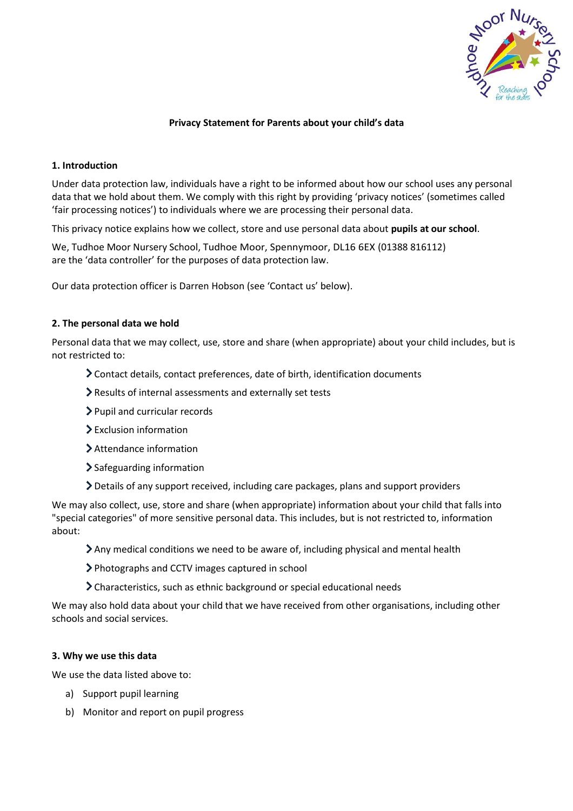

## **Privacy Statement for Parents about your child's data**

## **1. Introduction**

Under data protection law, individuals have a right to be informed about how our school uses any personal data that we hold about them. We comply with this right by providing 'privacy notices' (sometimes called 'fair processing notices') to individuals where we are processing their personal data.

This privacy notice explains how we collect, store and use personal data about **pupils at our school**.

We, Tudhoe Moor Nursery School, Tudhoe Moor, Spennymoor, DL16 6EX (01388 816112) are the 'data controller' for the purposes of data protection law.

Our data protection officer is Darren Hobson (see 'Contact us' below).

## **2. The personal data we hold**

Personal data that we may collect, use, store and share (when appropriate) about your child includes, but is not restricted to:

- Contact details, contact preferences, date of birth, identification documents
- Results of internal assessments and externally set tests
- Pupil and curricular records
- $\sum$  Exclusion information
- Attendance information
- > Safeguarding information
- Details of any support received, including care packages, plans and support providers

We may also collect, use, store and share (when appropriate) information about your child that falls into "special categories" of more sensitive personal data. This includes, but is not restricted to, information about:

- Any medical conditions we need to be aware of, including physical and mental health
- Photographs and CCTV images captured in school
- Characteristics, such as ethnic background or special educational needs

We may also hold data about your child that we have received from other organisations, including other schools and social services.

#### **3. Why we use this data**

We use the data listed above to:

- a) Support pupil learning
- b) Monitor and report on pupil progress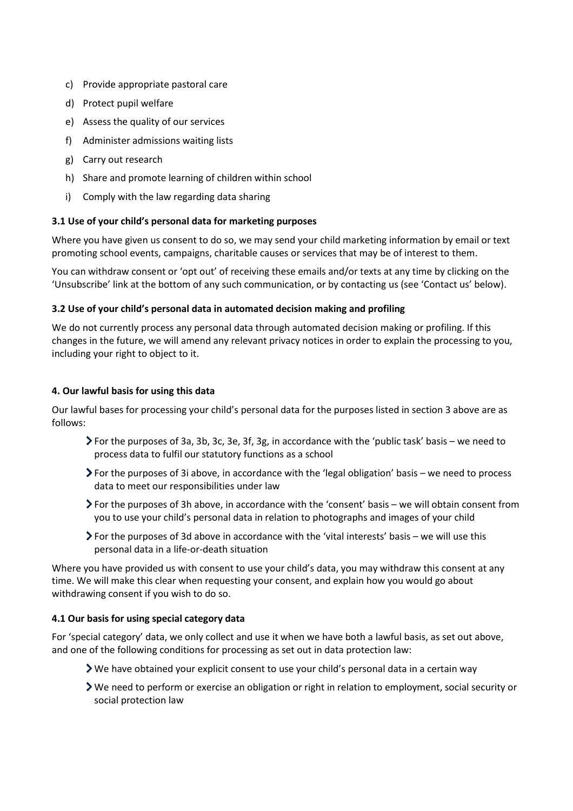- c) Provide appropriate pastoral care
- d) Protect pupil welfare
- e) Assess the quality of our services
- f) Administer admissions waiting lists
- g) Carry out research
- h) Share and promote learning of children within school
- i) Comply with the law regarding data sharing

## **3.1 Use of your child's personal data for marketing purposes**

Where you have given us consent to do so, we may send your child marketing information by email or text promoting school events, campaigns, charitable causes or services that may be of interest to them.

You can withdraw consent or 'opt out' of receiving these emails and/or texts at any time by clicking on the 'Unsubscribe' link at the bottom of any such communication, or by contacting us (see 'Contact us' below).

## **3.2 Use of your child's personal data in automated decision making and profiling**

We do not currently process any personal data through automated decision making or profiling. If this changes in the future, we will amend any relevant privacy notices in order to explain the processing to you, including your right to object to it.

## **4. Our lawful basis for using this data**

Our lawful bases for processing your child's personal data for the purposes listed in section 3 above are as follows:

- For the purposes of 3a, 3b, 3c, 3e, 3f, 3g, in accordance with the 'public task' basis we need to process data to fulfil our statutory functions as a school
- For the purposes of 3i above, in accordance with the 'legal obligation' basis we need to process data to meet our responsibilities under law
- For the purposes of 3h above, in accordance with the 'consent' basis we will obtain consent from you to use your child's personal data in relation to photographs and images of your child
- $\triangleright$  For the purposes of 3d above in accordance with the 'vital interests' basis we will use this personal data in a life-or-death situation

Where you have provided us with consent to use your child's data, you may withdraw this consent at any time. We will make this clear when requesting your consent, and explain how you would go about withdrawing consent if you wish to do so.

# **4.1 Our basis for using special category data**

For 'special category' data, we only collect and use it when we have both a lawful basis, as set out above, and one of the following conditions for processing as set out in data protection law:

- We have obtained your explicit consent to use your child's personal data in a certain way
- We need to perform or exercise an obligation or right in relation to employment, social security or social protection law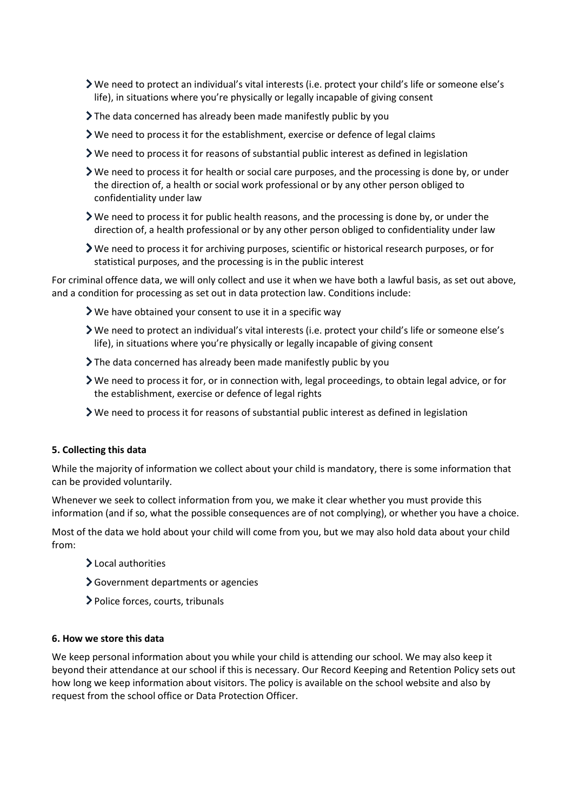- We need to protect an individual's vital interests (i.e. protect your child's life or someone else's life), in situations where you're physically or legally incapable of giving consent
- The data concerned has already been made manifestly public by you
- $\blacktriangleright$  We need to process it for the establishment, exercise or defence of legal claims
- $\triangleright$  We need to process it for reasons of substantial public interest as defined in legislation
- $\triangleright$  We need to process it for health or social care purposes, and the processing is done by, or under the direction of, a health or social work professional or by any other person obliged to confidentiality under law
- $\triangleright$  We need to process it for public health reasons, and the processing is done by, or under the direction of, a health professional or by any other person obliged to confidentiality under law
- We need to process it for archiving purposes, scientific or historical research purposes, or for statistical purposes, and the processing is in the public interest

For criminal offence data, we will only collect and use it when we have both a lawful basis, as set out above, and a condition for processing as set out in data protection law. Conditions include:

- We have obtained your consent to use it in a specific way
- We need to protect an individual's vital interests (i.e. protect your child's life or someone else's life), in situations where you're physically or legally incapable of giving consent
- $\sum$  The data concerned has already been made manifestly public by you
- We need to process it for, or in connection with, legal proceedings, to obtain legal advice, or for the establishment, exercise or defence of legal rights
- We need to process it for reasons of substantial public interest as defined in legislation

## **5. Collecting this data**

While the majority of information we collect about your child is mandatory, there is some information that can be provided voluntarily.

Whenever we seek to collect information from you, we make it clear whether you must provide this information (and if so, what the possible consequences are of not complying), or whether you have a choice.

Most of the data we hold about your child will come from you, but we may also hold data about your child from:

- Local authorities
- Government departments or agencies
- Police forces, courts, tribunals

# **6. How we store this data**

We keep personal information about you while your child is attending our school. We may also keep it beyond their attendance at our school if this is necessary. Our Record Keeping and Retention Policy sets out how long we keep information about visitors. The policy is available on the school website and also by request from the school office or Data Protection Officer.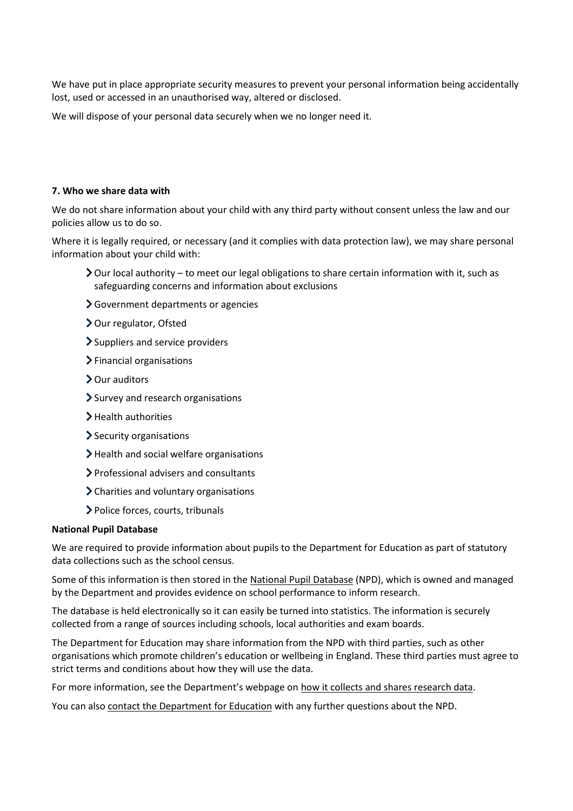We have put in place appropriate security measures to prevent your personal information being accidentally lost, used or accessed in an unauthorised way, altered or disclosed.

We will dispose of your personal data securely when we no longer need it.

#### **7. Who we share data with**

We do not share information about your child with any third party without consent unless the law and our policies allow us to do so.

Where it is legally required, or necessary (and it complies with data protection law), we may share personal information about your child with:

- Our local authority to meet our legal obligations to share certain information with it, such as safeguarding concerns and information about exclusions
- Government departments or agencies
- > Our regulator, Ofsted
- > Suppliers and service providers
- > Financial organisations
- > Our auditors
- > Survey and research organisations
- > Health authorities
- Security organisations
- $\blacktriangleright$  Health and social welfare organisations
- Professional advisers and consultants
- Charities and voluntary organisations
- Police forces, courts, tribunals

#### **National Pupil Database**

We are required to provide information about pupils to the Department for Education as part of statutory data collections such as the school census.

Some of this information is then stored in th[e National Pupil Database](https://www.gov.uk/government/collections/national-pupil-database) (NPD), which is owned and managed by the Department and provides evidence on school performance to inform research.

The database is held electronically so it can easily be turned into statistics. The information is securely collected from a range of sources including schools, local authorities and exam boards.

The Department for Education may share information from the NPD with third parties, such as other organisations which promote children's education or wellbeing in England. These third parties must agree to strict terms and conditions about how they will use the data.

For more information, see the Department's webpage on [how it collects and shares research data.](https://www.gov.uk/data-protection-how-we-collect-and-share-research-data)

You can also [contact the Department for Education](https://www.gov.uk/contact-dfe) with any further questions about the NPD.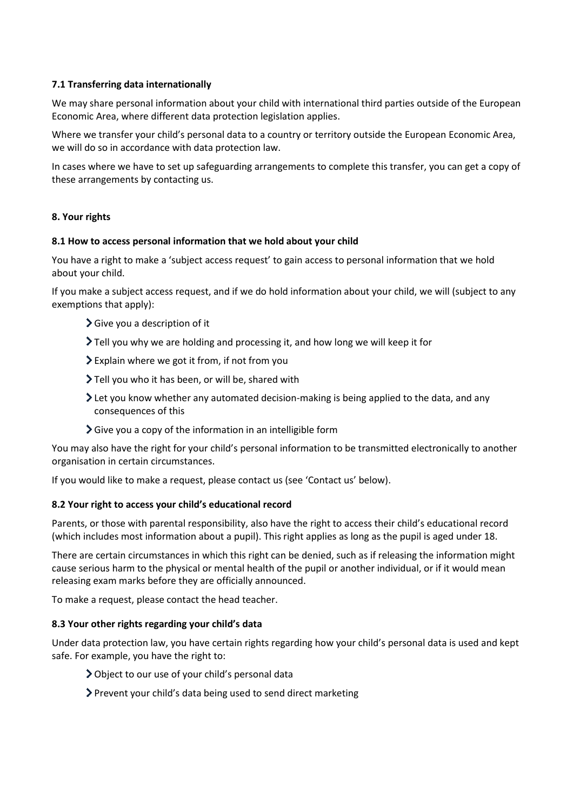# **7.1 Transferring data internationally**

We may share personal information about your child with international third parties outside of the European Economic Area, where different data protection legislation applies.

Where we transfer your child's personal data to a country or territory outside the European Economic Area, we will do so in accordance with data protection law.

In cases where we have to set up safeguarding arrangements to complete this transfer, you can get a copy of these arrangements by contacting us.

## **8. Your rights**

## **8.1 How to access personal information that we hold about your child**

You have a right to make a 'subject access request' to gain access to personal information that we hold about your child.

If you make a subject access request, and if we do hold information about your child, we will (subject to any exemptions that apply):

- Give you a description of it
- Tell you why we are holding and processing it, and how long we will keep it for
- Explain where we got it from, if not from you
- Tell you who it has been, or will be, shared with
- Let you know whether any automated decision-making is being applied to the data, and any consequences of this
- $\sum$  Give you a copy of the information in an intelligible form

You may also have the right for your child's personal information to be transmitted electronically to another organisation in certain circumstances.

If you would like to make a request, please contact us (see 'Contact us' below).

## **8.2 Your right to access your child's educational record**

Parents, or those with parental responsibility, also have the right to access their child's educational record (which includes most information about a pupil). This right applies as long as the pupil is aged under 18.

There are certain circumstances in which this right can be denied, such as if releasing the information might cause serious harm to the physical or mental health of the pupil or another individual, or if it would mean releasing exam marks before they are officially announced.

To make a request, please contact the head teacher.

## **8.3 Your other rights regarding your child's data**

Under data protection law, you have certain rights regarding how your child's personal data is used and kept safe. For example, you have the right to:

- Object to our use of your child's personal data
- Prevent your child's data being used to send direct marketing